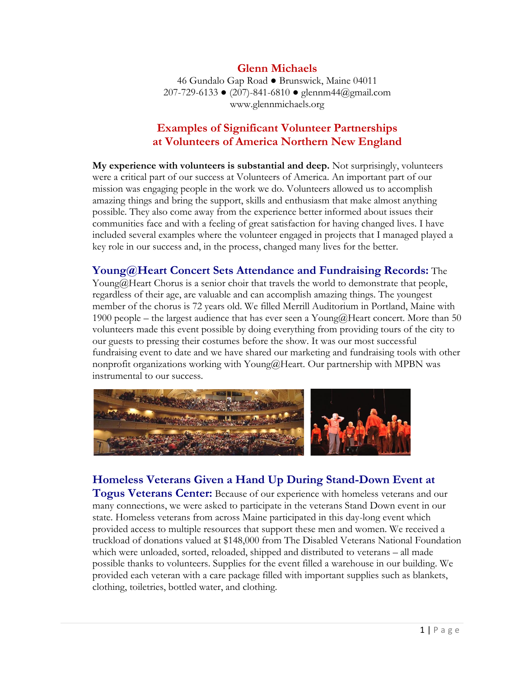#### **Glenn Michaels**

46 Gundalo Gap Road ● Brunswick, Maine 04011 207-729-6133 ● (207)-841-6810 ● glennm44@gmail.com www.glennmichaels.org

## **Examples of Significant Volunteer Partnerships at Volunteers of America Northern New England**

**My experience with volunteers is substantial and deep.** Not surprisingly, volunteers were a critical part of our success at Volunteers of America. An important part of our mission was engaging people in the work we do. Volunteers allowed us to accomplish amazing things and bring the support, skills and enthusiasm that make almost anything possible. They also come away from the experience better informed about issues their communities face and with a feeling of great satisfaction for having changed lives. I have included several examples where the volunteer engaged in projects that I managed played a key role in our success and, in the process, changed many lives for the better.

#### **Young@Heart Concert Sets Attendance and Fundraising Records:** The

Young@Heart Chorus is a senior choir that travels the world to demonstrate that people, regardless of their age, are valuable and can accomplish amazing things. The youngest member of the chorus is 72 years old. We filled Merrill Auditorium in Portland, Maine with 1900 people – the largest audience that has ever seen a Young@Heart concert. More than 50 volunteers made this event possible by doing everything from providing tours of the city to our guests to pressing their costumes before the show. It was our most successful fundraising event to date and we have shared our marketing and fundraising tools with other nonprofit organizations working with Young@Heart. Our partnership with MPBN was instrumental to our success.



# **Homeless Veterans Given a Hand Up During Stand-Down Event at**

**Togus Veterans Center:** Because of our experience with homeless veterans and our many connections, we were asked to participate in the veterans Stand Down event in our state. Homeless veterans from across Maine participated in this day-long event which provided access to multiple resources that support these men and women. We received a truckload of donations valued at \$148,000 from The Disabled Veterans National Foundation which were unloaded, sorted, reloaded, shipped and distributed to veterans – all made possible thanks to volunteers. Supplies for the event filled a warehouse in our building. We provided each veteran with a care package filled with important supplies such as blankets, clothing, toiletries, bottled water, and clothing.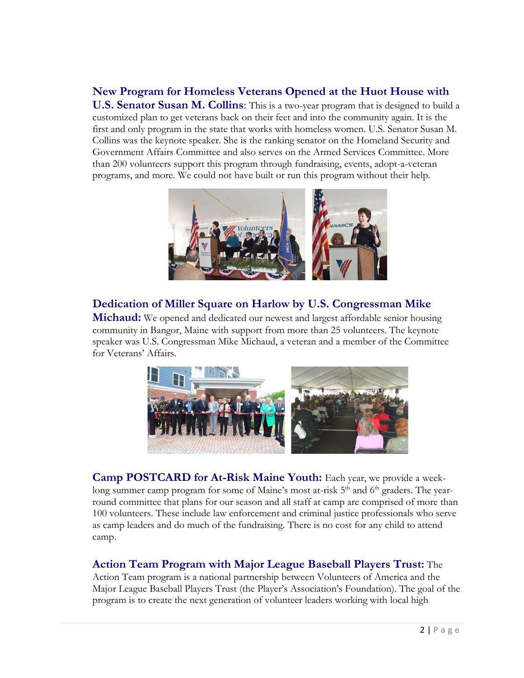# **New Program for Homeless Veterans Opened at the Huot House with**

**U.S. Senator Susan M. Collins**: This is a two-year program that is designed to build a customized plan to get veterans back on their feet and into the community again. It is the first and only program in the state that works with homeless women. U.S. Senator Susan M. Collins was the keynote speaker. She is the ranking senator on the Homeland Security and Government Affairs Committee and also serves on the Armed Services Committee. More than 200 volunteers support this program through fundraising, events, adopt-a-veteran programs, and more. We could not have built or run this program without their help.



# **Dedication of Miller Square on Harlow by U.S. Congressman Mike**

**Michaud:** We opened and dedicated our newest and largest affordable senior housing community in Bangor, Maine with support from more than 25 volunteers. The keynote speaker was U.S. Congressman Mike Michaud, a veteran and a member of the Committee for Veterans' Affairs.



**Camp POSTCARD for At-Risk Maine Youth:** Each year, we provide a weeklong summer camp program for some of Maine's most at-risk 5<sup>th</sup> and 6<sup>th</sup> graders. The yearround committee that plans for our season and all staff at camp are comprised of more than 100 volunteers. These include law enforcement and criminal justice professionals who serve as camp leaders and do much of the fundraising. There is no cost for any child to attend camp.

## **Action Team Program with Major League Baseball Players Trust:** The

Action Team program is a national partnership between Volunteers of America and the Major League Baseball Players Trust (the Player's Association's Foundation). The goal of the program is to create the next generation of volunteer leaders working with local high